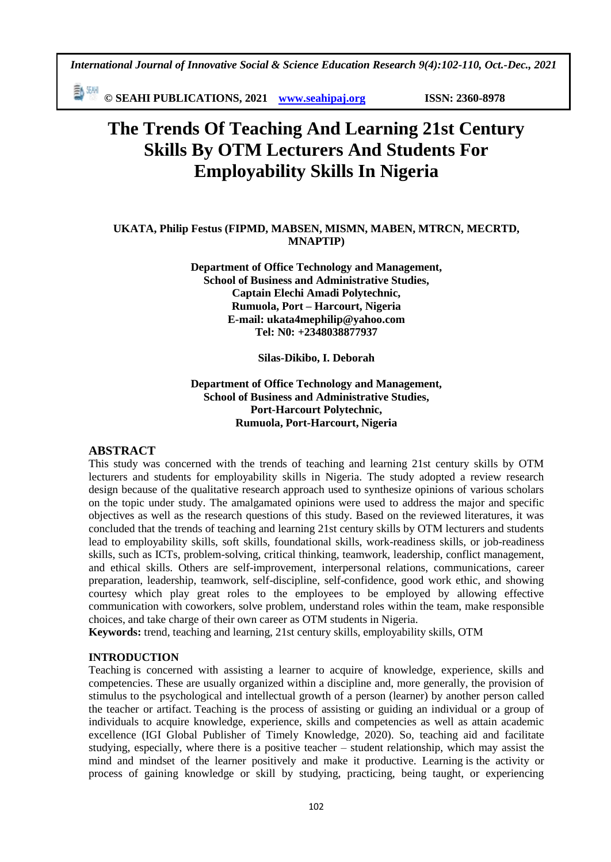*International Journal of Innovative Social & Science Education Research 9(4):102-110, Oct.-Dec., 2021*

動網 **© SEAHI PUBLICATIONS, 2021 [www.seahipaj.org](http://www.seahipaj.org/) ISSN: 2360-8978**

# **The Trends Of Teaching And Learning 21st Century Skills By OTM Lecturers And Students For Employability Skills In Nigeria**

# **UKATA, Philip Festus (FIPMD, MABSEN, MISMN, MABEN, MTRCN, MECRTD, MNAPTIP)**

**Department of Office Technology and Management, School of Business and Administrative Studies, Captain Elechi Amadi Polytechnic, Rumuola, Port – Harcourt, Nigeria E-mail: [ukata4mephilip@yahoo.com](mailto:ukata4mephilip@yahoo.com) Tel: N0: +2348038877937**

**Silas-Dikibo, I. Deborah**

## **Department of Office Technology and Management, School of Business and Administrative Studies, Port-Harcourt Polytechnic, Rumuola, Port-Harcourt, Nigeria**

# **ABSTRACT**

This study was concerned with the trends of teaching and learning 21st century skills by OTM lecturers and students for employability skills in Nigeria. The study adopted a review research design because of the qualitative research approach used to synthesize opinions of various scholars on the topic under study. The amalgamated opinions were used to address the major and specific objectives as well as the research questions of this study. Based on the reviewed literatures, it was concluded that the trends of teaching and learning 21st century skills by OTM lecturers and students lead to employability skills, soft skills, foundational skills, work-readiness skills, or job-readiness skills, such as ICTs, problem-solving, critical thinking, teamwork, leadership, conflict management, and ethical skills. Others are self-improvement, interpersonal relations, communications, career preparation, leadership, teamwork, self-discipline, self-confidence, good work ethic, and showing courtesy which play great roles to the employees to be employed by allowing effective communication with coworkers, solve problem, understand roles within the team, make responsible choices, and take charge of their own career as OTM students in Nigeria.

**Keywords:** trend, teaching and learning, 21st century skills, employability skills, OTM

# **INTRODUCTION**

Teaching is concerned with assisting a learner to acquire of knowledge, experience, skills and competencies. These are usually organized within a discipline and, more generally, the provision of stimulus to the psychological and intellectual growth of a person (learner) by another person called the teacher or artifact. Teaching is the process of assisting or guiding an individual or a group of individuals to acquire knowledge, experience, skills and competencies as well as attain academic excellence (IGI Global Publisher of Timely Knowledge, 2020). So, teaching aid and facilitate studying, especially, where there is a positive teacher – student relationship, which may assist the mind and mindset of the learner positively and make it productive. Learning is the activity or process of gaining knowledge or skill by studying, practicing, being taught, or experiencing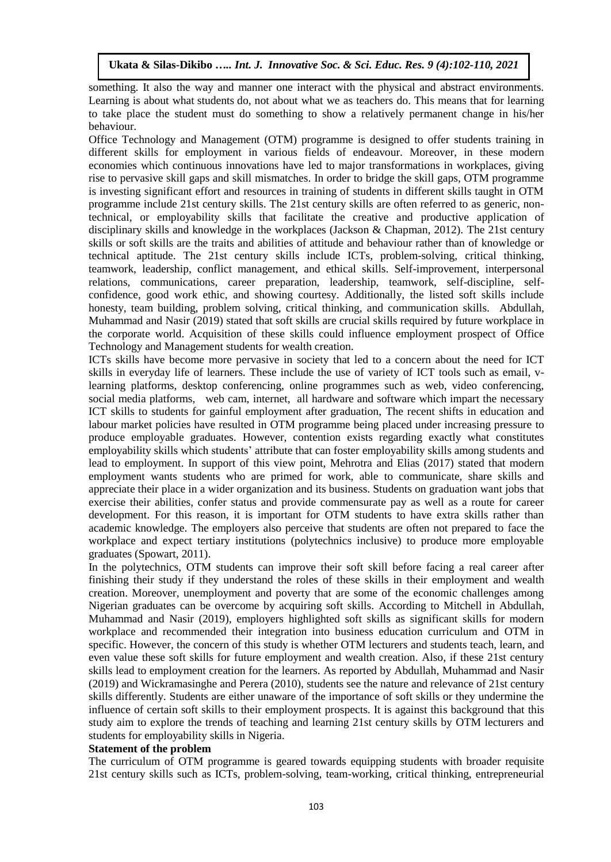something. It also the way and manner one interact with the physical and abstract environments. Learning is about what students do, not about what we as teachers do. This means that for learning to take place the student must do something to show a relatively permanent change in his/her behaviour.

Office Technology and Management (OTM) programme is designed to offer students training in different skills for employment in various fields of endeavour. Moreover, in these modern economies which continuous innovations have led to major transformations in workplaces, giving rise to pervasive skill gaps and skill mismatches. In order to bridge the skill gaps, OTM programme is investing significant effort and resources in training of students in different skills taught in OTM programme include 21st century skills. The 21st century skills are often referred to as generic, nontechnical, or employability skills that facilitate the creative and productive application of disciplinary skills and knowledge in the workplaces (Jackson & Chapman, 2012). The 21st century skills or soft skills are the traits and abilities of attitude and behaviour rather than of knowledge or technical aptitude. The 21st century skills include ICTs, problem-solving, critical thinking, teamwork, leadership, conflict management, and ethical skills. Self-improvement, interpersonal relations, communications, career preparation, leadership, teamwork, self-discipline, selfconfidence, good work ethic, and showing courtesy. Additionally, the listed soft skills include honesty, team building, problem solving, critical thinking, and communication skills. Abdullah, Muhammad and Nasir (2019) stated that soft skills are crucial skills required by future workplace in the corporate world. Acquisition of these skills could influence employment prospect of Office Technology and Management students for wealth creation.

ICTs skills have become more pervasive in society that led to a concern about the need for ICT skills in everyday life of learners. These include the use of variety of ICT tools such as email, vlearning platforms, desktop conferencing, online programmes such as web, video conferencing, social media platforms, web cam, internet, all hardware and software which impart the necessary ICT skills to students for gainful employment after graduation, The recent shifts in education and labour market policies have resulted in OTM programme being placed under increasing pressure to produce employable graduates. However, contention exists regarding exactly what constitutes employability skills which students' attribute that can foster employability skills among students and lead to employment. In support of this view point, Mehrotra and Elias (2017) stated that modern employment wants students who are primed for work, able to communicate, share skills and appreciate their place in a wider organization and its business. Students on graduation want jobs that exercise their abilities, confer status and provide commensurate pay as well as a route for career development. For this reason, it is important for OTM students to have extra skills rather than academic knowledge. The employers also perceive that students are often not prepared to face the workplace and expect tertiary institutions (polytechnics inclusive) to produce more employable graduates (Spowart, 2011).

In the polytechnics, OTM students can improve their soft skill before facing a real career after finishing their study if they understand the roles of these skills in their employment and wealth creation. Moreover, unemployment and poverty that are some of the economic challenges among Nigerian graduates can be overcome by acquiring soft skills. According to Mitchell in Abdullah, Muhammad and Nasir (2019), employers highlighted soft skills as significant skills for modern workplace and recommended their integration into business education curriculum and OTM in specific. However, the concern of this study is whether OTM lecturers and students teach, learn, and even value these soft skills for future employment and wealth creation. Also, if these 21st century skills lead to employment creation for the learners. As reported by Abdullah, Muhammad and Nasir (2019) and Wickramasinghe and Perera (2010), students see the nature and relevance of 21st century skills differently. Students are either unaware of the importance of soft skills or they undermine the influence of certain soft skills to their employment prospects. It is against this background that this study aim to explore the trends of teaching and learning 21st century skills by OTM lecturers and students for employability skills in Nigeria.

#### **Statement of the problem**

The curriculum of OTM programme is geared towards equipping students with broader requisite 21st century skills such as ICTs, problem-solving, team-working, critical thinking, entrepreneurial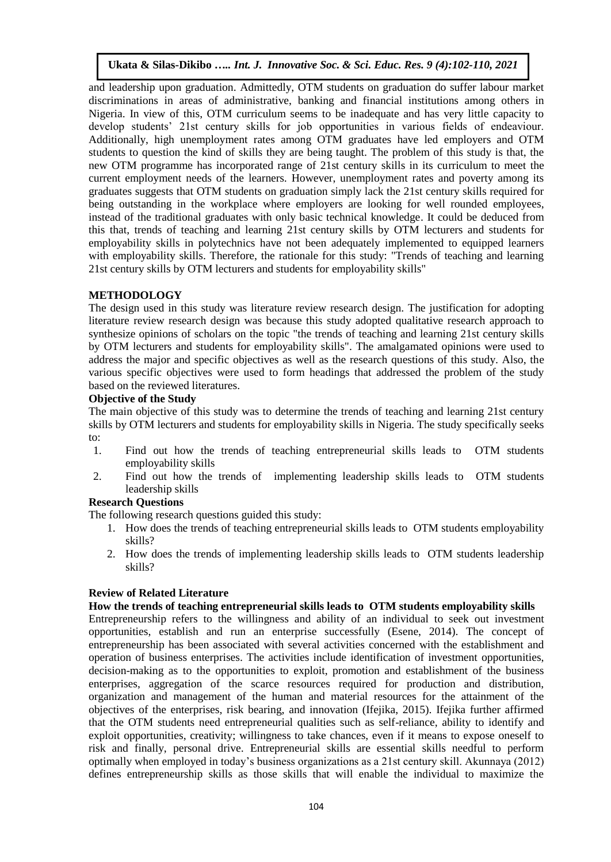and leadership upon graduation. Admittedly, OTM students on graduation do suffer labour market discriminations in areas of administrative, banking and financial institutions among others in Nigeria. In view of this, OTM curriculum seems to be inadequate and has very little capacity to develop students' 21st century skills for job opportunities in various fields of endeaviour. Additionally, high unemployment rates among OTM graduates have led employers and OTM students to question the kind of skills they are being taught. The problem of this study is that, the new OTM programme has incorporated range of 21st century skills in its curriculum to meet the current employment needs of the learners. However, unemployment rates and poverty among its graduates suggests that OTM students on graduation simply lack the 21st century skills required for being outstanding in the workplace where employers are looking for well rounded employees, instead of the traditional graduates with only basic technical knowledge. It could be deduced from this that, trends of teaching and learning 21st century skills by OTM lecturers and students for employability skills in polytechnics have not been adequately implemented to equipped learners with employability skills. Therefore, the rationale for this study: "Trends of teaching and learning 21st century skills by OTM lecturers and students for employability skills"

# **METHODOLOGY**

The design used in this study was literature review research design. The justification for adopting literature review research design was because this study adopted qualitative research approach to synthesize opinions of scholars on the topic "the trends of teaching and learning 21st century skills by OTM lecturers and students for employability skills". The amalgamated opinions were used to address the major and specific objectives as well as the research questions of this study. Also, the various specific objectives were used to form headings that addressed the problem of the study based on the reviewed literatures.

## **Objective of the Study**

The main objective of this study was to determine the trends of teaching and learning 21st century skills by OTM lecturers and students for employability skills in Nigeria. The study specifically seeks to:

- 1. Find out how the trends of teaching entrepreneurial skills leads to OTM students employability skills
- 2. Find out how the trends of implementing leadership skills leads to OTM students leadership skills

# **Research Questions**

The following research questions guided this study:

- 1. How does the trends of teaching entrepreneurial skills leads to OTM students employability skills?
- 2. How does the trends of implementing leadership skills leads to OTM students leadership skills?

# **Review of Related Literature**

#### **How the trends of teaching entrepreneurial skills leads to OTM students employability skills**

Entrepreneurship refers to the willingness and ability of an individual to seek out investment opportunities, establish and run an enterprise successfully (Esene, 2014). The concept of entrepreneurship has been associated with several activities concerned with the establishment and operation of business enterprises. The activities include identification of investment opportunities, decision-making as to the opportunities to exploit, promotion and establishment of the business enterprises, aggregation of the scarce resources required for production and distribution, organization and management of the human and material resources for the attainment of the objectives of the enterprises, risk bearing, and innovation (Ifejika, 2015). Ifejika further affirmed that the OTM students need entrepreneurial qualities such as self-reliance, ability to identify and exploit opportunities, creativity; willingness to take chances, even if it means to expose oneself to risk and finally, personal drive. Entrepreneurial skills are essential skills needful to perform optimally when employed in today's business organizations as a 21st century skill. Akunnaya (2012) defines entrepreneurship skills as those skills that will enable the individual to maximize the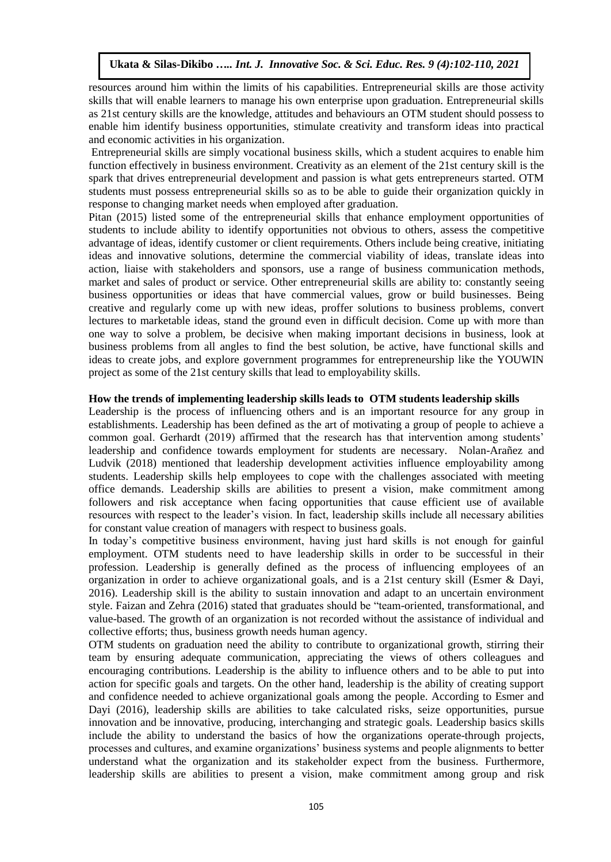resources around him within the limits of his capabilities. Entrepreneurial skills are those activity skills that will enable learners to manage his own enterprise upon graduation. Entrepreneurial skills as 21st century skills are the knowledge, attitudes and behaviours an OTM student should possess to enable him identify business opportunities, stimulate creativity and transform ideas into practical and economic activities in his organization.

Entrepreneurial skills are simply vocational business skills, which a student acquires to enable him function effectively in business environment. Creativity as an element of the 21st century skill is the spark that drives entrepreneurial development and passion is what gets entrepreneurs started. OTM students must possess entrepreneurial skills so as to be able to guide their organization quickly in response to changing market needs when employed after graduation.

Pitan (2015) listed some of the entrepreneurial skills that enhance employment opportunities of students to include ability to identify opportunities not obvious to others, assess the competitive advantage of ideas, identify customer or client requirements. Others include being creative, initiating ideas and innovative solutions, determine the commercial viability of ideas, translate ideas into action, liaise with stakeholders and sponsors, use a range of business communication methods, market and sales of product or service. Other entrepreneurial skills are ability to: constantly seeing business opportunities or ideas that have commercial values, grow or build businesses. Being creative and regularly come up with new ideas, proffer solutions to business problems, convert lectures to marketable ideas, stand the ground even in difficult decision. Come up with more than one way to solve a problem, be decisive when making important decisions in business, look at business problems from all angles to find the best solution, be active, have functional skills and ideas to create jobs, and explore government programmes for entrepreneurship like the YOUWIN project as some of the 21st century skills that lead to employability skills.

#### **How the trends of implementing leadership skills leads to OTM students leadership skills**

Leadership is the process of influencing others and is an important resource for any group in establishments. Leadership has been defined as the art of motivating a group of people to achieve a common goal. Gerhardt (2019) affirmed that the research has that intervention among students' leadership and confidence towards employment for students are necessary. Nolan-Arañez and Ludvik (2018) mentioned that leadership development activities influence employability among students. Leadership skills help employees to cope with the challenges associated with meeting office demands. Leadership skills are abilities to present a vision, make commitment among followers and risk acceptance when facing opportunities that cause efficient use of available resources with respect to the leader's vision. In fact, leadership skills include all necessary abilities for constant value creation of managers with respect to business goals.

In today's competitive business environment, having just hard skills is not enough for gainful employment. OTM students need to have leadership skills in order to be successful in their profession. Leadership is generally defined as the process of influencing employees of an organization in order to achieve organizational goals, and is a 21st century skill (Esmer & Dayi, 2016). Leadership skill is the ability to sustain innovation and adapt to an uncertain environment style. Faizan and Zehra (2016) stated that graduates should be "team-oriented, transformational, and value-based. The growth of an organization is not recorded without the assistance of individual and collective efforts; thus, business growth needs human agency.

OTM students on graduation need the ability to contribute to organizational growth, stirring their team by ensuring adequate communication, appreciating the views of others colleagues and encouraging contributions. Leadership is the ability to influence others and to be able to put into action for specific goals and targets. On the other hand, leadership is the ability of creating support and confidence needed to achieve organizational goals among the people. According to Esmer and Dayi (2016), leadership skills are abilities to take calculated risks, seize opportunities, pursue innovation and be innovative, producing, interchanging and strategic goals. Leadership basics skills include the ability to understand the basics of how the organizations operate-through projects, processes and cultures, and examine organizations' business systems and people alignments to better understand what the organization and its stakeholder expect from the business. Furthermore, leadership skills are abilities to present a vision, make commitment among group and risk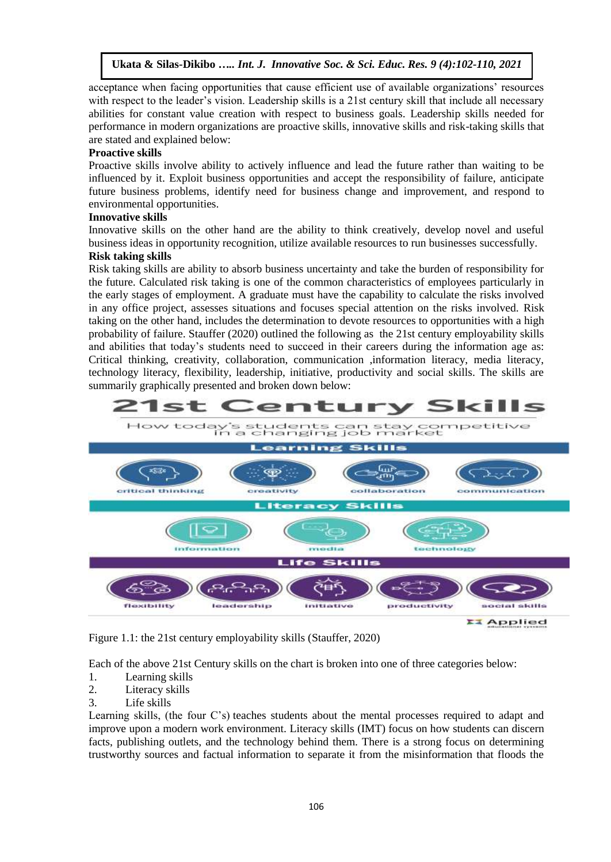acceptance when facing opportunities that cause efficient use of available organizations' resources with respect to the leader's vision. Leadership skills is a 21st century skill that include all necessary abilities for constant value creation with respect to business goals. Leadership skills needed for performance in modern organizations are proactive skills, innovative skills and risk-taking skills that are stated and explained below:

#### **Proactive skills**

Proactive skills involve ability to actively influence and lead the future rather than waiting to be influenced by it. Exploit business opportunities and accept the responsibility of failure, anticipate future business problems, identify need for business change and improvement, and respond to environmental opportunities.

#### **Innovative skills**

Innovative skills on the other hand are the ability to think creatively, develop novel and useful business ideas in opportunity recognition, utilize available resources to run businesses successfully.

## **Risk taking skills**

Risk taking skills are ability to absorb business uncertainty and take the burden of responsibility for the future. Calculated risk taking is one of the common characteristics of employees particularly in the early stages of employment. A graduate must have the capability to calculate the risks involved in any office project, assesses situations and focuses special attention on the risks involved. Risk taking on the other hand, includes the determination to devote resources to opportunities with a high probability of failure. [Stauffer](https://www.aeseducation.com/blog/author/bri-stauffer) (2020) outlined the following as the 21st century employability skills and abilities that today's students need to succeed in their careers during the information age as: Critical thinking, creativity, collaboration, communication ,information literacy, media literacy, technology literacy, flexibility, leadership, initiative, productivity and social skills. The skills are summarily graphically presented and broken down below:



Figure 1.1: the 21st century employability skills [\(Stauffer,](https://www.aeseducation.com/blog/author/bri-stauffer) 2020)

Each of the above 21st Century skills on the chart is broken into one of three categories below:

- 1. Learning skills
- 2. Literacy skills
- 3. Life skills

Learning skills, (the four C's) teaches students about the mental processes required to adapt and improve upon a modern work environment. Literacy skills (IMT) focus on how students can discern facts, publishing outlets, and the technology behind them. There is a strong focus on determining trustworthy sources and factual information to separate it from the misinformation that floods the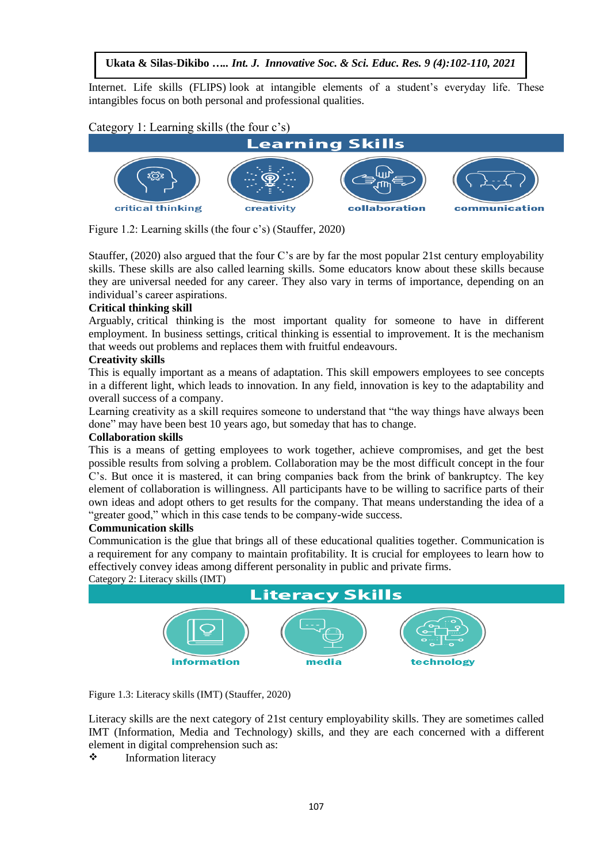Internet. Life skills (FLIPS) look at intangible elements of a student's everyday life. These intangibles focus on both personal and professional qualities.

Category 1: Learning skills (the four c's)



Figure 1.2: Learning skills (the four c's) [\(Stauffer,](https://www.aeseducation.com/blog/author/bri-stauffer) 2020)

[Stauffer,](https://www.aeseducation.com/blog/author/bri-stauffer) (2020) [also argued that the four C's](https://www.aeseducation.com/careercenter21/what-are-the-4-cs-of-21st-century-skills) are by far the most popular 21st century employability skills. These skills are also called learning skills. Some educators know about these skills because they are universal needed for any career. They also vary in terms of importance, depending on an individual's career aspirations.

#### **Critical thinking skill**

Arguably, critical thinking is the most important quality for someone to have in different employment. In business settings, [critical thinking](https://www.aeseducation.com/career-readiness/top-7-critical-thinking-lesson-plans) is essential to improvement. It is the mechanism that weeds out problems and replaces them with fruitful endeavours.

#### **Creativity skills**

This is equally important as a means of adaptation. This skill empowers employees to see concepts in a different light, which leads to innovation. In any field, innovation is key to the adaptability and overall success of a company.

Learning creativity as a skill requires someone to understand that "the way things have always been done" may have been best 10 years ago, but someday that has to change.

#### **Collaboration skills**

This is a means of getting employees to work together, achieve compromises, and get the best possible results from solving a problem. [Collaboration](https://www.aeseducation.com/businesscenter21/3-best-collaborative-learning-lesson-plans-for-middle-school) may be the most difficult concept in the four C's. But once it is mastered, it can bring companies back from the brink of bankruptcy. The key element of collaboration is willingness. All participants have to be willing to sacrifice parts of their own ideas and adopt others to get results for the company. That means understanding the idea of a "greater good," which in this case tends to be company-wide success.

#### **Communication skills**

Communication is the glue that brings all of these educational qualities together. [Communication](https://www.aeseducation.com/career-readiness/what-are-workplace-communication-skills-how-do-you-teach-them) is a requirement for any company to maintain profitability. It is crucial for employees to learn how to effectively convey ideas among different personality in public and private firms.

Category 2: Literacy skills (IMT)



Figure 1.3: Literacy skills (IMT) [\(Stauffer,](https://www.aeseducation.com/blog/author/bri-stauffer) 2020)

Literacy skills are the next category of 21st century employability skills. They are sometimes called IMT (Information, Media and Technology) skills, and they are each concerned with a different element in digital comprehension such as:

 $\div$  [Information literacy](https://www.aeseducation.com/blog/5-essential-steps-to-teach-information-literacy-in-middle-school)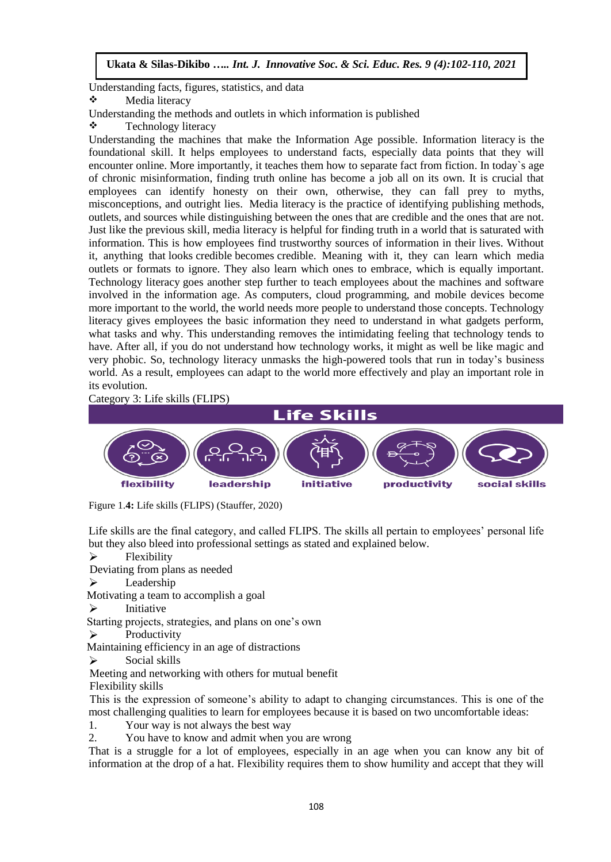Understanding facts, figures, statistics, and data

❖ [Media literacy](https://www.aeseducation.com/blog/top-5-media-literacy-lesson-plans-resources)

Understanding the methods and outlets in which information is published

**❖** Technology literacy

Understanding the machines that make the Information Age possible. Information literacy is the foundational skill. It helps employees to understand facts, especially data points that they will encounter online. More importantly, it teaches them [how to separate fact from fiction.](https://www.aeseducation.com/blog/4-best-places-find-information-literacy-lesson-plans-middle-school) In today`s age of chronic misinformation, finding truth online has become a job all on its own. It is crucial that employees can identify honesty on their own, otherwise, they can fall prey to myths, misconceptions, and outright lies. Media literacy is the practice of identifying publishing methods, outlets, and sources while distinguishing between the ones that are credible and the ones that are not. Just like the previous skill, media literacy is helpful for finding truth in a world that is saturated with information. This is how employees find trustworthy sources of information in their lives. Without it, anything that looks credible becomes credible. Meaning with it, they can learn which media outlets or formats to ignore. They also learn which ones to embrace, which is equally important. Technology literacy goes another step further to teach employees about the machines and software involved in the information age. As computers, cloud programming, and mobile devices become more important to the world, the world needs more people to understand those concepts. Technology literacy gives employees the basic information they need to understand in what gadgets perform, what tasks and why. This understanding removes the intimidating feeling that technology tends to have. After all, if you do not understand how technology works, it might as well be like magic and very phobic. So, technology literacy unmasks the high-powered tools that run in today's business world. As a result, employees can adapt to the world more effectively and play an important role in its evolution.

Category 3: Life skills (FLIPS)



Figure 1.**4:** Life skills (FLIPS) [\(Stauffer,](https://www.aeseducation.com/blog/author/bri-stauffer) 2020)

Life skills are the final category, and called FLIPS. The skills all pertain to employees' personal life but they also bleed into professional settings as stated and explained below.

 $\triangleright$  Flexibility

Deviating from plans as needed

Eeadership

Motivating a team to accomplish a goal

 $\triangleright$  Initiative

Starting projects, strategies, and plans on one's own

 $\triangleright$  Productivity

Maintaining efficiency in an age of distractions

 $\triangleright$  Social skills

Meeting and networking with others for mutual benefit

Flexibility skills

 This is the expression of someone's ability to adapt to changing circumstances. This is one of the most challenging qualities to learn for employees because it is based on two uncomfortable ideas:

1. Your way is not always the best way

2. You have to know and admit when you are wrong

That is a struggle for a lot of employees, especially in an age when you can know any bit of information at the drop of a hat. Flexibility requires them to show humility and accept that they will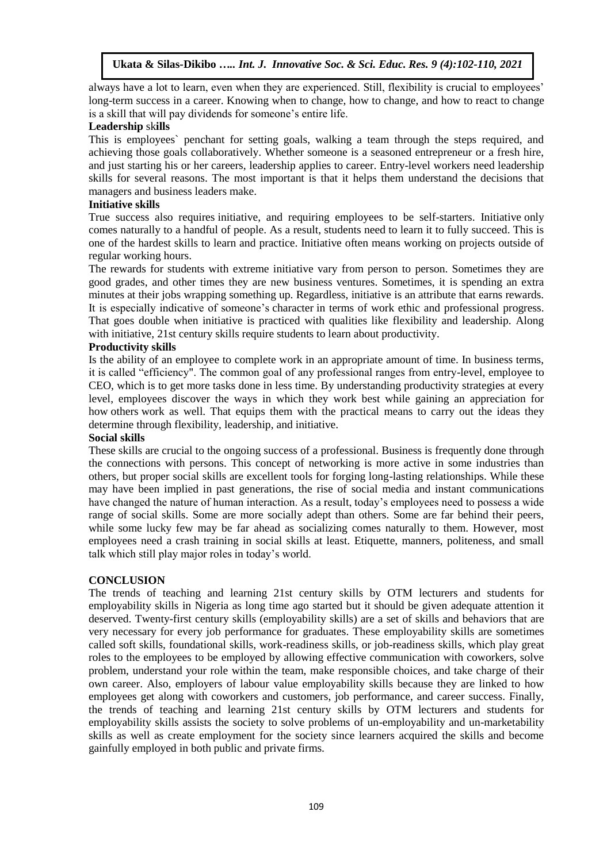always have a lot to learn, even when they are experienced. Still, flexibility is crucial to employees' long-term success in a career. Knowing when to change, how to change, and how to react to change is a skill that will pay dividends for someone's entire life.

#### **Leadership** sk**ills**

This is employees` penchant for setting goals, walking a team through the steps required, and achieving those goals collaboratively. Whether someone is a seasoned entrepreneur or a fresh hire, and just starting his or her careers, leadership applies to career. Entry-level workers need leadership skills for several reasons. The most important is that it helps them understand the decisions that managers and business leaders make.

#### **Initiative skills**

True success also requires initiative, and requiring employees to be self-starters. [Initiative](https://www.aeseducation.com/blog/how-to-teach-initiative-high-school) only comes naturally to a handful of people. As a result, students need to learn it to fully succeed. This is one of the hardest skills to learn and practice. Initiative often means working on projects outside of regular working hours.

The rewards for students with extreme initiative vary from person to person. Sometimes they are good grades, and other times they are new business ventures. Sometimes, it is spending an extra minutes at their jobs wrapping something up. Regardless, initiative is an attribute that earns rewards. It is especially indicative of someone's [character](https://www.aeseducation.com/blog/how-to-teach-6-pillars-of-character-middle-school) in terms of work ethic and professional progress. That goes double when initiative is practiced with qualities like flexibility and leadership. Along with initiative, 21st century skills require students to learn about productivity.

## **Productivity skills**

Is the ability of an employee to complete work in an appropriate amount of time. In business terms, it is called "efficiency". The common goal of any professional ranges from entry-level, employee to CEO, which is to get more tasks done in less time. By understanding productivity strategies at every level, employees discover the ways in which they work best while gaining an appreciation for how others work as well. That equips them with the practical means to carry out the ideas they determine through flexibility, leadership, and initiative.

#### **Social skills**

These skills are crucial to the ongoing success of a [professional.](https://info.aeseducation.com/professionalism-lesson-plan) Business is frequently done through the connections with persons. This concept of networking is more active in some industries than others, but proper social skills are excellent tools for forging long-lasting relationships. While these may have been implied in past generations, the rise of social media and instant communications have changed the nature of human interaction. As a result, today's employees need to possess a wide range of social skills. Some are more socially adept than others. Some are far behind their peers, while some lucky few may be far ahead as socializing comes naturally to them. However, most employees need a crash training in social skills at least. Etiquette, manners, politeness, and small talk which still play major roles in today's world.

#### **CONCLUSION**

The trends of teaching and learning 21st century skills by OTM lecturers and students for employability skills in Nigeria as long time ago started but it should be given adequate attention it deserved. Twenty-first century skills (employability skills) are a set of skills and behaviors that are very necessary for every job performance for graduates. These employability skills are sometimes called soft skills, foundational skills, work-readiness skills, or job-readiness skills, which play great roles to the employees to be employed by allowing effective communication with coworkers, solve problem, understand your role within the team, make responsible choices, and take charge of their own career. Also, employers of labour value employability skills because they are linked to how employees get along with coworkers and customers, job performance, and career success. Finally, the trends of teaching and learning 21st century skills by OTM lecturers and students for employability skills assists the society to solve problems of un-employability and un-marketability skills as well as create employment for the society since learners acquired the skills and become gainfully employed in both public and private firms.